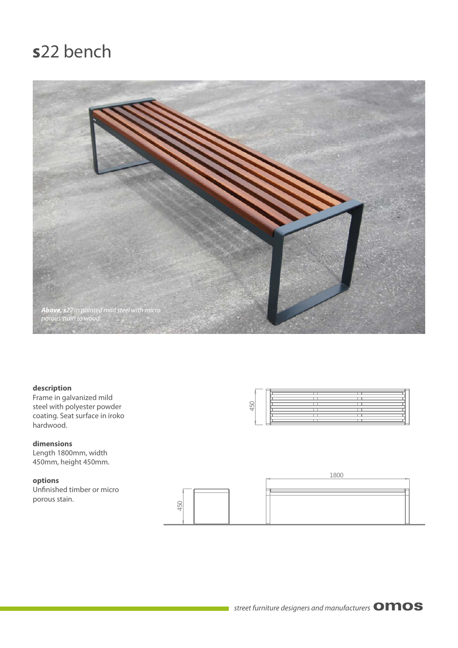## **s**22 bench



### **description**

Frame in galvanized mild steel with polyester powder coating. Seat surface in iroko hardwood.

**dimensions** Length 1800mm, width 450mm, height 450mm.

### **options**

Unfinished timber or micro porous stain.



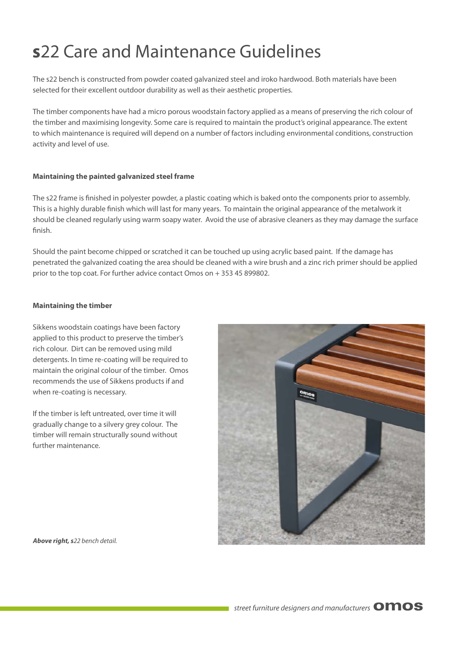# **s**22 Care and Maintenance Guidelines

The s22 bench is constructed from powder coated galvanized steel and iroko hardwood. Both materials have been selected for their excellent outdoor durability as well as their aesthetic properties.

The timber components have had a micro porous woodstain factory applied as a means of preserving the rich colour of the timber and maximising longevity. Some care is required to maintain the product's original appearance. The extent to which maintenance is required will depend on a number of factors including environmental conditions, construction activity and level of use.

### **Maintaining the painted galvanized steel frame**

The s22 frame is finished in polyester powder, a plastic coating which is baked onto the components prior to assembly. This is a highly durable finish which will last for many years. To maintain the original appearance of the metalwork it should be cleaned regularly using warm soapy water. Avoid the use of abrasive cleaners as they may damage the surface finish.

Should the paint become chipped or scratched it can be touched up using acrylic based paint. If the damage has penetrated the galvanized coating the area should be cleaned with a wire brush and a zinc rich primer should be applied prior to the top coat. For further advice contact Omos on + 353 45 899802.

### **Maintaining the timber**

Sikkens woodstain coatings have been factory applied to this product to preserve the timber's rich colour. Dirt can be removed using mild detergents. In time re-coating will be required to maintain the original colour of the timber. Omos recommends the use of Sikkens products if and when re-coating is necessary.

If the timber is left untreated, over time it will gradually change to a silvery grey colour. The timber will remain structurally sound without further maintenance.



*Above right, s22 bench detail.*